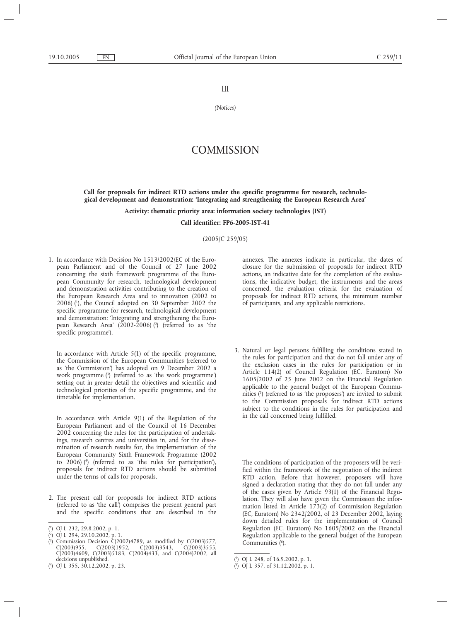III

*(Notices)*

# **COMMISSION**

**Call for proposals for indirect RTD actions under the specific programme for research, technological development and demonstration: 'Integrating and strengthening the European Research Area'**

**Activity: thematic priority area: information society technologies (IST)**

**Call identifier: FP6-2005-IST-41**

(2005/C 259/05)

1. In accordance with Decision No 1513/2002/EC of the European Parliament and of the Council of 27 June 2002 concerning the sixth framework programme of the European Community for research, technological development and demonstration activities contributing to the creation of the European Research Area and to innovation (2002 to 2006) (1 ), the Council adopted on 30 September 2002 the specific programme for research, technological development and demonstration: 'Integrating and strengthening the European Research Area' (2002-2006) (2 ) (referred to as 'the specific programme').

In accordance with Article 5(1) of the specific programme, the Commission of the European Communities (referred to as 'the Commission') has adopted on 9 December 2002 a work programme (3 ) (referred to as 'the work programme') setting out in greater detail the objectives and scientific and technological priorities of the specific programme, and the timetable for implementation.

In accordance with Article 9(1) of the Regulation of the European Parliament and of the Council of 16 December 2002 concerning the rules for the participation of undertakings, research centres and universities in, and for the dissemination of research results for, the implementation of the European Community Sixth Framework Programme (2002 to 2006) (4 ) (referred to as 'the rules for participation'), proposals for indirect RTD actions should be submitted under the terms of calls for proposals.

2. The present call for proposals for indirect RTD actions (referred to as 'the call') comprises the present general part and the specific conditions that are described in the annexes. The annexes indicate in particular, the dates of closure for the submission of proposals for indirect RTD actions, an indicative date for the completion of the evaluations, the indicative budget, the instruments and the areas concerned, the evaluation criteria for the evaluation of proposals for indirect RTD actions, the minimum number of participants, and any applicable restrictions.

3. Natural or legal persons fulfilling the conditions stated in the rules for participation and that do not fall under any of the exclusion cases in the rules for participation or in Article 114(2) of Council Regulation (EC, Euratom) No 1605/2002 of 25 June 2002 on the Financial Regulation applicable to the general budget of the European Communities (5 ) (referred to as 'the proposers') are invited to submit to the Commission proposals for indirect RTD actions subject to the conditions in the rules for participation and in the call concerned being fulfilled.

The conditions of participation of the proposers will be verified within the framework of the negotiation of the indirect RTD action. Before that however, proposers will have signed a declaration stating that they do not fall under any of the cases given by Article 93(1) of the Financial Regulation. They will also have given the Commission the information listed in Article 173(2) of Commission Regulation (EC, Euratom) No 2342/2002, of 23 December 2002, laying down detailed rules for the implementation of Council Regulation (EC, Euratom) No 1605/2002 on the Financial Regulation applicable to the general budget of the European Communities (6).

<sup>(</sup> 1 ) OJ L 232, 29.8.2002, p. 1.

<sup>(</sup> 2 ) OJ L 294, 29.10.2002, p. 1.

<sup>(</sup> 3 ) Commission Decision C(2002)4789, as modified by C(2003)577,  $C(2003)955$ ,  $C(2003)1952$ ,  $C(2003)3543$ ,  $C(2003)3555$ , C(2003)4609, C(2003)5183, C(2004)433, and C(2004)2002, all decisions unpublished.

<sup>(</sup> 4 ) OJ L 355, 30.12.2002, p. 23.

<sup>(</sup> 5 ) OJ L 248, of 16.9.2002, p. 1.

<sup>(</sup> 6 ) OJ L 357, of 31.12.2002, p. 1.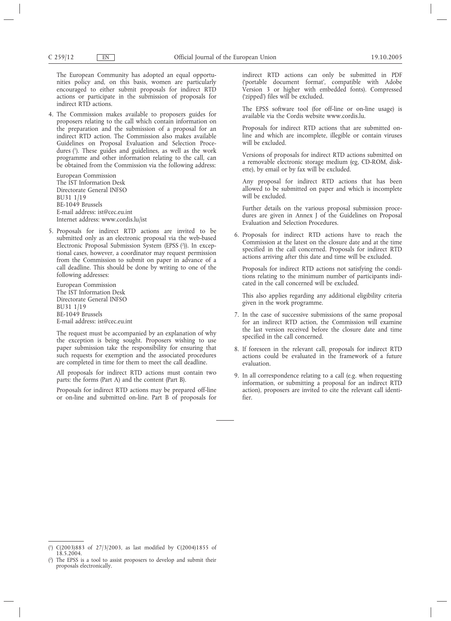The European Community has adopted an equal opportunities policy and, on this basis, women are particularly encouraged to either submit proposals for indirect RTD actions or participate in the submission of proposals for indirect RTD actions.

4. The Commission makes available to proposers guides for proposers relating to the call which contain information on the preparation and the submission of a proposal for an indirect RTD action. The Commission also makes available Guidelines on Proposal Evaluation and Selection Procedures (1). These guides and guidelines, as well as the work programme and other information relating to the call, can be obtained from the Commission via the following address:

European Commission The IST Information Desk Directorate General INFSO BU31 1/19 BE-1049 Brussels E-mail address: ist@cec.eu.int Internet address: www.cordis.lu/ist

5. Proposals for indirect RTD actions are invited to be submitted only as an electronic proposal via the web-based Electronic Proposal Submission System (EPSS (2 )). In exceptional cases, however, a coordinator may request permission from the Commission to submit on paper in advance of a call deadline. This should be done by writing to one of the following addresses:

European Commission The IST Information Desk Directorate General INFSO BU31 1/19 BE-1049 Brussels E-mail address: ist@cec.eu.int

The request must be accompanied by an explanation of why the exception is being sought. Proposers wishing to use paper submission take the responsibility for ensuring that such requests for exemption and the associated procedures are completed in time for them to meet the call deadline.

All proposals for indirect RTD actions must contain two parts: the forms (Part A) and the content (Part B).

Proposals for indirect RTD actions may be prepared off-line or on-line and submitted on-line. Part B of proposals for indirect RTD actions can only be submitted in PDF ('portable document format', compatible with Adobe Version 3 or higher with embedded fonts). Compressed ('zipped') files will be excluded.

The EPSS software tool (for off-line or on-line usage) is available via the Cordis website www.cordis.lu.

Proposals for indirect RTD actions that are submitted online and which are incomplete, illegible or contain viruses will be excluded.

Versions of proposals for indirect RTD actions submitted on a removable electronic storage medium (eg, CD-ROM, diskette), by email or by fax will be excluded.

Any proposal for indirect RTD actions that has been allowed to be submitted on paper and which is incomplete will be excluded.

Further details on the various proposal submission procedures are given in Annex J of the Guidelines on Proposal Evaluation and Selection Procedures.

6. Proposals for indirect RTD actions have to reach the Commission at the latest on the closure date and at the time specified in the call concerned. Proposals for indirect RTD actions arriving after this date and time will be excluded.

Proposals for indirect RTD actions not satisfying the conditions relating to the minimum number of participants indicated in the call concerned will be excluded.

This also applies regarding any additional eligibility criteria given in the work programme.

- 7. In the case of successive submissions of the same proposal for an indirect RTD action, the Commission will examine the last version received before the closure date and time specified in the call concerned.
- 8. If foreseen in the relevant call, proposals for indirect RTD actions could be evaluated in the framework of a future evaluation.
- 9. In all correspondence relating to a call (e.g. when requesting information, or submitting a proposal for an indirect RTD action), proposers are invited to cite the relevant call identifier.

<sup>(</sup> 1 ) C(2003)883 of 27/3/2003, as last modified by C(2004)1855 of 18.5.2004.

<sup>(</sup> 2 ) The EPSS is a tool to assist proposers to develop and submit their proposals electronically.